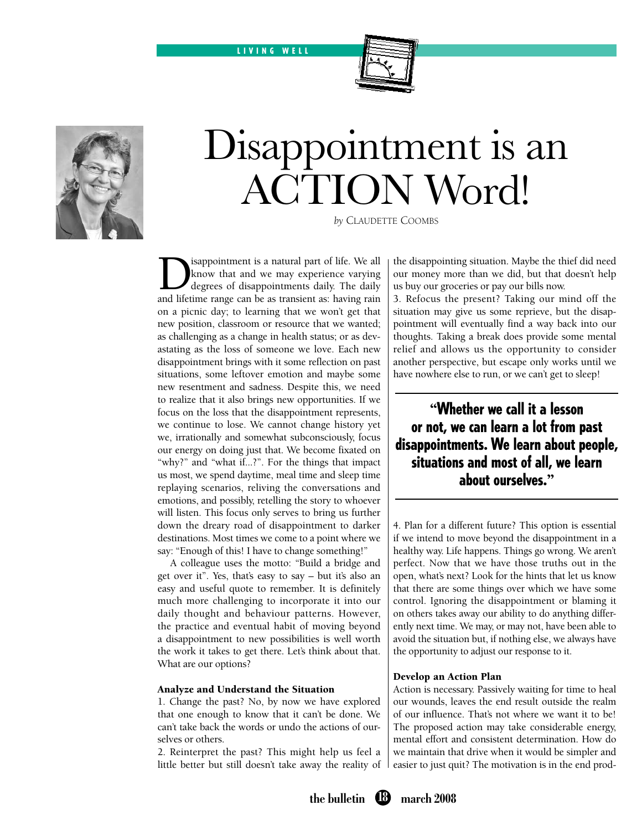L I V I N G W E L L



# Disappointment is an ACTION Word!

*by* Claudette Coombs

**Example 1** is a natural part of life. We all know that and we may experience varying degrees of disappointments daily. The daily and lifetime range can be as transient as having rain know that and we may experience varying degrees of disappointments daily. The daily and lifetime range can be as transient as: having rain on a picnic day; to learning that we won't get that new position, classroom or resource that we wanted; as challenging as a change in health status; or as devastating as the loss of someone we love. Each new disappointment brings with it some reflection on past situations, some leftover emotion and maybe some new resentment and sadness. Despite this, we need to realize that it also brings new opportunities. If we focus on the loss that the disappointment represents, we continue to lose. We cannot change history yet we, irrationally and somewhat subconsciously, focus our energy on doing just that. We become fixated on "why?" and "what if...?". For the things that impact us most, we spend daytime, meal time and sleep time replaying scenarios, reliving the conversations and emotions, and possibly, retelling the story to whoever will listen. This focus only serves to bring us further down the dreary road of disappointment to darker destinations. Most times we come to a point where we say: "Enough of this! I have to change something!"

A colleague uses the motto: "Build a bridge and get over it". Yes, that's easy to say – but it's also an easy and useful quote to remember. It is definitely much more challenging to incorporate it into our daily thought and behaviour patterns. However, the practice and eventual habit of moving beyond a disappointment to new possibilities is well worth the work it takes to get there. Let's think about that. What are our options?

#### Analyze and Understand the Situation

1. Change the past? No, by now we have explored that one enough to know that it can't be done. We can't take back the words or undo the actions of ourselves or others.

2. Reinterpret the past? This might help us feel a little better but still doesn't take away the reality of the disappointing situation. Maybe the thief did need our money more than we did, but that doesn't help us buy our groceries or pay our bills now.

3. Refocus the present? Taking our mind off the situation may give us some reprieve, but the disappointment will eventually find a way back into our thoughts. Taking a break does provide some mental relief and allows us the opportunity to consider another perspective, but escape only works until we have nowhere else to run, or we can't get to sleep!

**"**Whether we call it a lesson or not, we can learn a lot from past disappointments. We learn about people, situations and most of all, we learn about ourselves.**"**

4. Plan for a different future? This option is essential if we intend to move beyond the disappointment in a healthy way. Life happens. Things go wrong. We aren't perfect. Now that we have those truths out in the open, what's next? Look for the hints that let us know that there are some things over which we have some control. Ignoring the disappointment or blaming it on others takes away our ability to do anything differently next time. We may, or may not, have been able to avoid the situation but, if nothing else, we always have the opportunity to adjust our response to it.

### Develop an Action Plan

Action is necessary. Passively waiting for time to heal our wounds, leaves the end result outside the realm of our influence. That's not where we want it to be! The proposed action may take considerable energy, mental effort and consistent determination. How do we maintain that drive when it would be simpler and easier to just quit? The motivation is in the end prod-